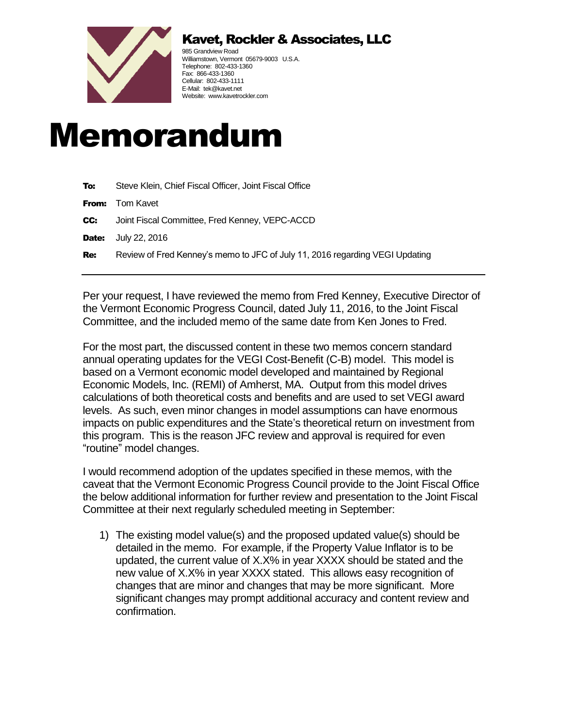

## Kavet, Rockler & Associates, LLC

985 Grandview Road Williamstown, Vermont 05679-9003 U.S.A. Telephone: 802-433-1360 Fax: 866-433-1360 Cellular: 802-433-1111 E-Mail: tek@kavet.net Website: www.kavetrockler.com

## Memorandum

| To:   | Steve Klein, Chief Fiscal Officer, Joint Fiscal Office                       |
|-------|------------------------------------------------------------------------------|
| From: | Tom Kavet                                                                    |
| CC:   | Joint Fiscal Committee, Fred Kenney, VEPC-ACCD                               |
| Date: | July 22, 2016                                                                |
| Re:   | Review of Fred Kenney's memo to JFC of July 11, 2016 regarding VEGI Updating |
|       |                                                                              |

Per your request, I have reviewed the memo from Fred Kenney, Executive Director of the Vermont Economic Progress Council, dated July 11, 2016, to the Joint Fiscal Committee, and the included memo of the same date from Ken Jones to Fred.

For the most part, the discussed content in these two memos concern standard annual operating updates for the VEGI Cost-Benefit (C-B) model. This model is based on a Vermont economic model developed and maintained by Regional Economic Models, Inc. (REMI) of Amherst, MA. Output from this model drives calculations of both theoretical costs and benefits and are used to set VEGI award levels. As such, even minor changes in model assumptions can have enormous impacts on public expenditures and the State's theoretical return on investment from this program. This is the reason JFC review and approval is required for even "routine" model changes.

I would recommend adoption of the updates specified in these memos, with the caveat that the Vermont Economic Progress Council provide to the Joint Fiscal Office the below additional information for further review and presentation to the Joint Fiscal Committee at their next regularly scheduled meeting in September:

1) The existing model value(s) and the proposed updated value(s) should be detailed in the memo. For example, if the Property Value Inflator is to be updated, the current value of X.X% in year XXXX should be stated and the new value of X.X% in year XXXX stated. This allows easy recognition of changes that are minor and changes that may be more significant. More significant changes may prompt additional accuracy and content review and confirmation.